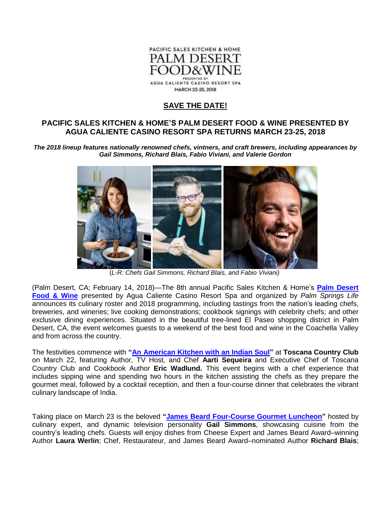

## **SAVE THE DATE!**

## **PACIFIC SALES KITCHEN & HOME'S PALM DESERT FOOD & WINE PRESENTED BY AGUA CALIENTE CASINO RESORT SPA RETURNS MARCH 23-25, 2018**

*The 2018 lineup features nationally renowned chefs, vintners, and craft brewers, including appearances by Gail Simmons, Richard Blais, Fabio Viviani, and Valerie Gordon*



(*L-R: Chefs Gail Simmons, Richard Blais, and Fabio Viviani)*

(Palm Desert, CA; February 14, 2018)—The 8th annual Pacific Sales Kitchen & Home's **[Palm Desert](http://www.palmdesertfoodandwine.com/)  [Food & Wine](http://www.palmdesertfoodandwine.com/)** presented by Agua Caliente Casino Resort Spa and organized by *Palm Springs Life* announces its culinary roster and 2018 programming, including tastings from the nation's leading chefs, breweries, and wineries; live cooking demonstrations; cookbook signings with celebrity chefs; and other exclusive dining experiences. Situated in the beautiful tree-lined El Paseo shopping district in Palm Desert, CA, the event welcomes guests to a weekend of the best food and wine in the Coachella Valley and from across the country.

The festivities commence with **["An American Kitchen with an Indian Soul"](https://www.palmdesertfoodandwine.com/x-portfolio/american-kitchen-indian-soul-toscana-country-club/)** at **Toscana Country Club**  on March 22, featuring Author, TV Host, and Chef **Aarti Sequeira** and Executive Chef of Toscana Country Club and Cookbook Author **Eric Wadlund.** This event begins with a chef experience that includes sipping wine and spending two hours in the kitchen assisting the chefs as they prepare the gourmet meal, followed by a cocktail reception, and then a four-course dinner that celebrates the vibrant culinary landscape of India.

Taking place on March 23 is the beloved **["James Beard Four-Course Gourmet Luncheon"](https://www.palmdesertfoodandwine.com/x-portfolio/james-beard-gourmet-four-course-luncheon/)** hosted by culinary expert, and dynamic television personality **Gail Simmons**, showcasing cuisine from the country's leading chefs. Guests will enjoy dishes from Cheese Expert and James Beard Award–winning Author **Laura Werlin**; Chef, Restaurateur, and James Beard Award–nominated Author **Richard Blais**;